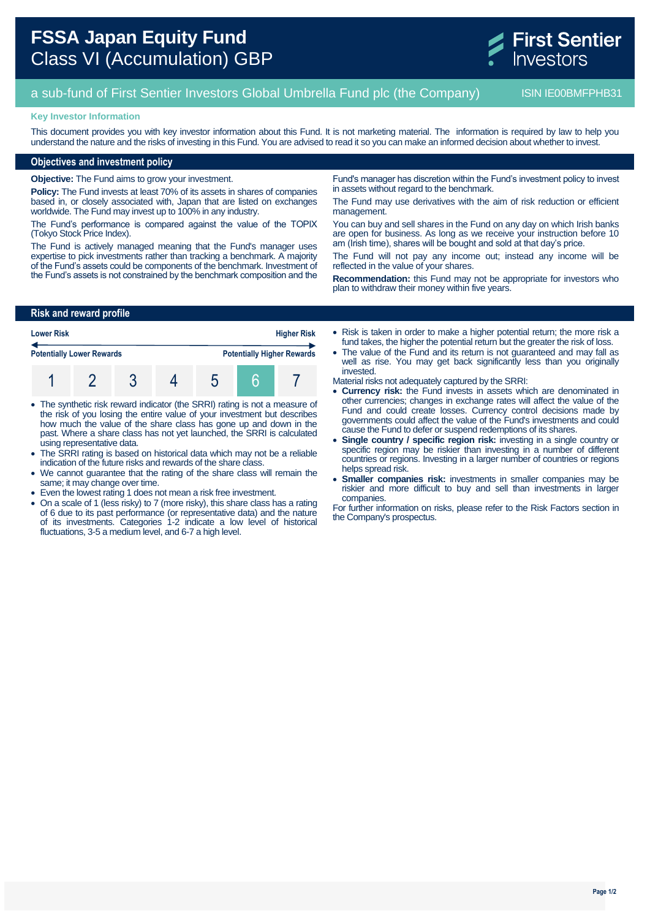# **FSSA Japan Equity Fund** Class VI (Accumulation) GBP

# a sub-fund of First Sentier Investors Global Umbrella Fund plc (the Company) ISIN IE00BMFPHB31

### **Key Investor Information**

This document provides you with key investor information about this Fund. It is not marketing material. The information is required by law to help you understand the nature and the risks of investing in this Fund. You are advised to read it so you can make an informed decision about whether to invest.

## **Objectives and investment policy**

**Objective:** The Fund aims to grow your investment.

**Policy:** The Fund invests at least 70% of its assets in shares of companies based in, or closely associated with, Japan that are listed on exchanges worldwide. The Fund may invest up to 100% in any industry.

The Fund's performance is compared against the value of the TOPIX (Tokyo Stock Price Index).

The Fund is actively managed meaning that the Fund's manager uses expertise to pick investments rather than tracking a benchmark. A majority of the Fund's assets could be components of the benchmark. Investment of the Fund's assets is not constrained by the benchmark composition and the

Fund's manager has discretion within the Fund's investment policy to invest in assets without regard to the benchmark.

The Fund may use derivatives with the aim of risk reduction or efficient management.

You can buy and sell shares in the Fund on any day on which Irish banks are open for business. As long as we receive your instruction before 10 am (Irish time), shares will be bought and sold at that day's price.

The Fund will not pay any income out; instead any income will be reflected in the value of your shares.

**Recommendation:** this Fund may not be appropriate for investors who plan to withdraw their money within five years.

# **Risk and reward profile**

| <b>Lower Risk</b><br><b>Potentially Lower Rewards</b> |  |  |  | <b>Higher Risk</b>                |  |  |
|-------------------------------------------------------|--|--|--|-----------------------------------|--|--|
|                                                       |  |  |  | <b>Potentially Higher Rewards</b> |  |  |
|                                                       |  |  |  |                                   |  |  |

- The synthetic risk reward indicator (the SRRI) rating is not a measure of the risk of you losing the entire value of your investment but describes how much the value of the share class has gone up and down in the past. Where a share class has not yet launched, the SRRI is calculated using representative data.
- The SRRI rating is based on historical data which may not be a reliable indication of the future risks and rewards of the share class.
- We cannot guarantee that the rating of the share class will remain the same; it may change over time.
- Even the lowest rating 1 does not mean a risk free investment.
- On a scale of 1 (less risky) to 7 (more risky), this share class has a rating of 6 due to its past performance (or representative data) and the nature of its investments. Categories 1-2 indicate a low level of historical fluctuations, 3-5 a medium level, and 6-7 a high level.
- Risk is taken in order to make a higher potential return; the more risk a fund takes, the higher the potential return but the greater the risk of loss.
- The value of the Fund and its return is not guaranteed and may fall as well as rise. You may get back significantly less than you originally invested.
- Material risks not adequately captured by the SRRI:
- **Currency risk:** the Fund invests in assets which are denominated in other currencies; changes in exchange rates will affect the value of the Fund and could create losses. Currency control decisions made by governments could affect the value of the Fund's investments and could cause the Fund to defer or suspend redemptions of its shares.
- **Single country / specific region risk:** investing in a single country or specific region may be riskier than investing in a number of different countries or regions. Investing in a larger number of countries or regions helps spread risk.
- **Smaller companies risk:** investments in smaller companies may be riskier and more difficult to buy and sell than investments in larger companies.

For further information on risks, please refer to the Risk Factors section in the Company's prospectus.

**First Sentier** nvestors